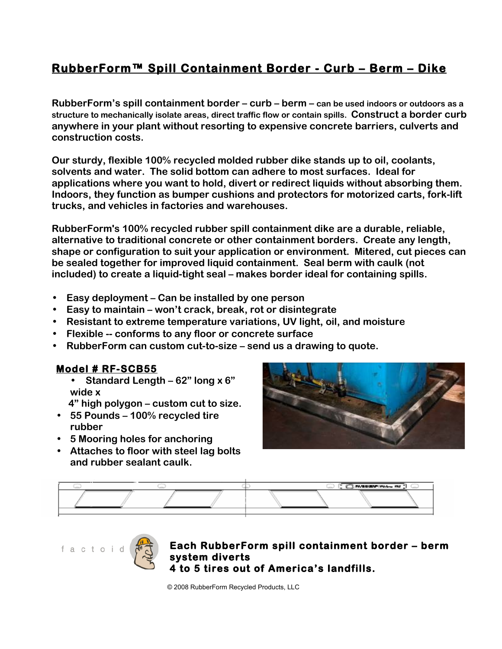# **RubberForm™ Spill Containment Border - Curb – Berm – Dike**

**RubberForm's spill containment border – curb – berm – can be used indoors or outdoors as a structure to mechanically isolate areas, direct traffic flow or contain spills. Construct a border curb anywhere in your plant without resorting to expensive concrete barriers, culverts and construction costs.**

**Our sturdy, flexible 100% recycled molded rubber dike stands up to oil, coolants, solvents and water. The solid bottom can adhere to most surfaces. Ideal for applications where you want to hold, divert or redirect liquids without absorbing them. Indoors, they function as bumper cushions and protectors for motorized carts, fork-lift trucks, and vehicles in factories and warehouses.** 

**RubberForm's 100% recycled rubber spill containment dike are a durable, reliable, alternative to traditional concrete or other containment borders. Create any length, shape or configuration to suit your application or environment. Mitered, cut pieces can be sealed together for improved liquid containment. Seal berm with caulk (not included) to create a liquid-tight seal – makes border ideal for containing spills.**

- **Easy deployment Can be installed by one person**
- **Easy to maintain won't crack, break, rot or disintegrate**
- **Resistant to extreme temperature variations, UV light, oil, and moisture**
- **Flexible -- conforms to any floor or concrete surface**
- **RubberForm can custom cut-to-size send us a drawing to quote.**

# **Model # RF-SCB55**

• **Standard Length – 62" long x 6" wide x** 

 **4" high polygon – custom cut to size.**

- **55 Pounds 100% recycled tire rubber**
- **5 Mooring holes for anchoring**
- **Attaches to floor with steel lag bolts and rubber sealant caulk.**







## **Each RubberForm spill containment border – berm system diverts 4 to 5 tires out of America's landfills.**

© 2008 RubberForm Recycled Products, LLC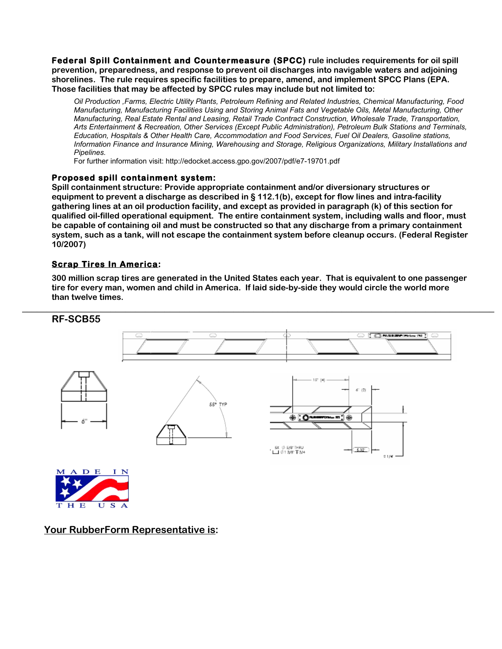**Federal Spill Containment and Countermeasure (SPCC) rule includes requirements for oil spill prevention, preparedness, and response to prevent oil discharges into navigable waters and adjoining shorelines. The rule requires specific facilities to prepare, amend, and implement SPCC Plans (EPA. Those facilities that may be affected by SPCC rules may include but not limited to:**

*Oil Production ,Farms, Electric Utility Plants, Petroleum Refining and Related Industries, Chemical Manufacturing, Food Manufacturing, Manufacturing Facilities Using and Storing Animal Fats and Vegetable Oils, Metal Manufacturing, Other Manufacturing, Real Estate Rental and Leasing, Retail Trade Contract Construction, Wholesale Trade, Transportation, Arts Entertainment & Recreation, Other Services (Except Public Administration), Petroleum Bulk Stations and Terminals, Education, Hospitals & Other Health Care, Accommodation and Food Services, Fuel Oil Dealers, Gasoline stations, Information Finance and Insurance Mining, Warehousing and Storage, Religious Organizations, Military Installations and Pipelines.*

For further information visit: http://edocket.access.gpo.gov/2007/pdf/e7-19701.pdf

#### **Proposed spill containment system:**

**Spill containment structure: Provide appropriate containment and/or diversionary structures or equipment to prevent a discharge as described in § 112.1(b), except for flow lines and intra-facility gathering lines at an oil production facility, and except as provided in paragraph (k) of this section for qualified oil-filled operational equipment. The entire containment system, including walls and floor, must be capable of containing oil and must be constructed so that any discharge from a primary containment system, such as a tank, will not escape the containment system before cleanup occurs. (Federal Register 10/2007)**

### **Scrap Tires In America:**

**300 million scrap tires are generated in the United States each year. That is equivalent to one passenger tire for every man, women and child in America. If laid side-by-side they would circle the world more than twelve times.** 



**Your RubberForm Representative is:**

**S** 

U

H E